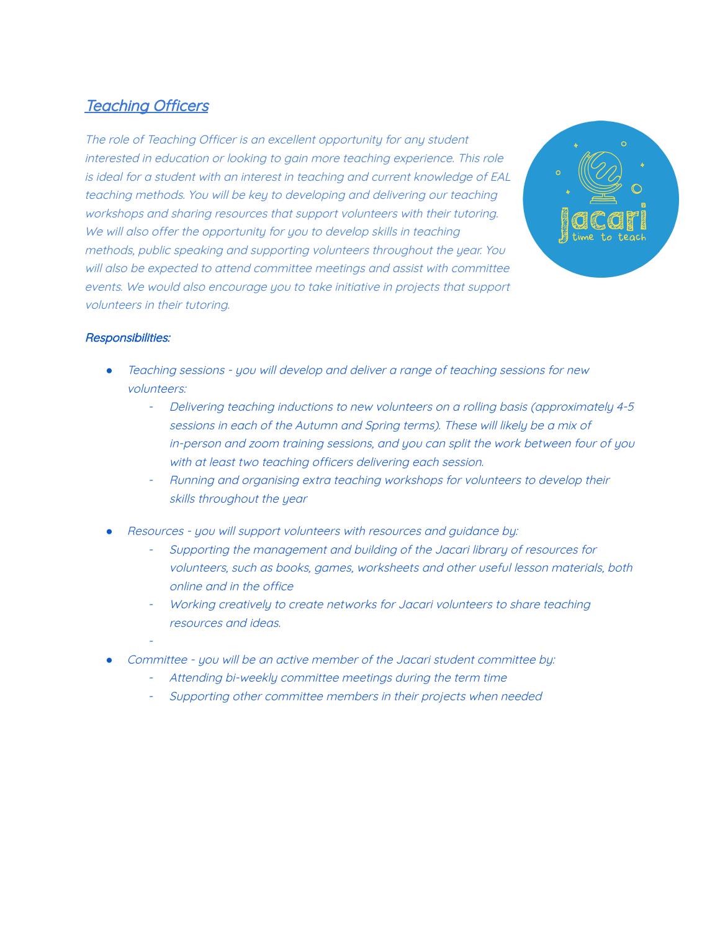# Teaching Officers

The role of Teaching Officer is an excellent opportunity for any student interested in education or looking to gain more teaching experience. This role is ideal for <sup>a</sup> student with an interest in teaching and current knowledge of EAL teaching methods. You will be key to developing and delivering our teaching workshops and sharing resources that support volunteers with their tutoring. We will also offer the opportunity for you to develop skills in teaching methods, public speaking and supporting volunteers throughout the year. You will also be expected to attend committee meetings and assist with committee events. We would also encourage you to take initiative in projects that support volunteers in their tutoring.



#### Responsibilities:

- *●* Teaching sessions you will develop and deliver <sup>a</sup> range of teaching sessions for new volunteers:
	- - Delivering teaching inductions to new volunteers on <sup>a</sup> rolling basis (approximately 4-5 sessions in each of the Autumn and Spring terms). These will likely be <sup>a</sup> mix of in-person and zoom training sessions, and you can split the work between four of you with at least two teaching officers delivering each session.
	- Running and organising extra teaching workshops for volunteers to develop their skills throughout the year
- Resources you will support volunteers with resources and guidance by:
	- Supporting the management and building of the Jacari library of resources for volunteers, such as books, games, worksheets and other useful lesson materials, both online and in the office
	- Working creatively to create networks for Jacari volunteers to share teaching resources and ideas.
- Committee you will be an active member of the Jacari student committee by:
	- Attending bi-weekly committee meetings during the term time
	- Supporting other committee members in their projects when needed